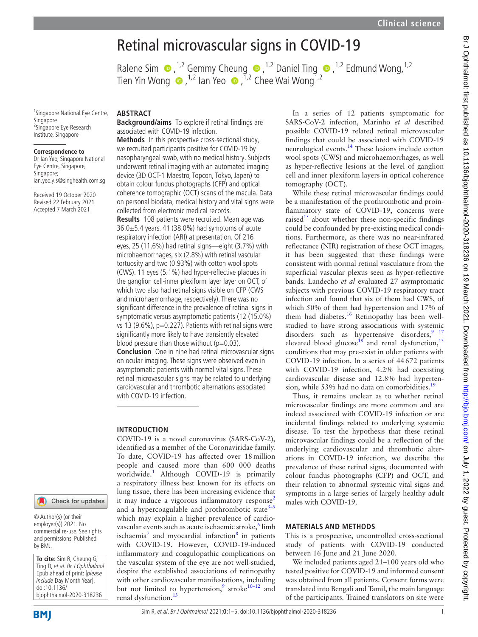# Retinal microvascular signs in COVID-19

Ralene Sim  $\bullet$ , <sup>1,2</sup> Gemmy Cheung  $\bullet$ , <sup>1,2</sup> Daniel Ting  $\bullet$ , <sup>1,2</sup> Edmund Wong, <sup>1,2</sup> TienYin Wong  $\bullet$ , <sup>1,2</sup> Ian Yeo  $\bullet$ , <sup>1,2</sup> Chee Wai Wong<sup>1,2</sup>

<sup>1</sup>Singapore National Eye Centre, Singapore <sup>2</sup>Singapore Eye Research Institute, Singapore

#### **Correspondence to**

Dr Ian Yeo, Singapore National Eye Centre, Singapore, Singapore; ian.yeo.y.s@singhealth.com.sg

Received 19 October 2020 Revised 22 February 2021 Accepted 7 March 2021

### **ABSTRACT**

**Background/aims** To explore if retinal findings are associated with COVID-19 infection.

**Methods** In this prospective cross-sectional study, we recruited participants positive for COVID-19 by nasopharyngeal swab, with no medical history. Subjects underwent retinal imaging with an automated imaging device (3D OCT-1 Maestro, Topcon, Tokyo, Japan) to obtain colour fundus photographs (CFP) and optical coherence tomographic (OCT) scans of the macula. Data on personal biodata, medical history and vital signs were collected from electronic medical records.

**Results** 108 patients were recruited. Mean age was 36.0±5.4 years. 41 (38.0%) had symptoms of acute respiratory infection (ARI) at presentation. Of 216 eyes, 25 (11.6%) had retinal signs—eight (3.7%) with microhaemorrhages, six (2.8%) with retinal vascular tortuosity and two (0.93%) with cotton wool spots (CWS). 11 eyes (5.1%) had hyper-reflective plaques in the ganglion cell-inner plexiform layer layer on OCT, of which two also had retinal signs visible on CFP (CWS and microhaemorrhage, respectively). There was no significant difference in the prevalence of retinal signs in symptomatic versus asymptomatic patients (12 (15.0%) vs 13 (9.6%), p=0.227). Patients with retinal signs were significantly more likely to have transiently elevated blood pressure than those without  $(p=0.03)$ . **Conclusion** One in nine had retinal microvascular signs on ocular imaging. These signs were observed even in asymptomatic patients with normal vital signs. These retinal microvascular signs may be related to underlying cardiovascular and thrombotic alternations associated with COVID-19 infection.

## **INTRODUCTION**

COVID-19 is a novel coronavirus (SARS-CoV-2), identified as a member of the Coronaviridae family. To date, COVID-19 has affected over 18million people and caused more than 600 000 deaths worldwide.<sup>1</sup> Although COVID-19 is primarily a respiratory illness best known for its effects on lung tissue, there has been increasing evidence that it may induce a vigorous inflammatory response<sup>[2](#page-4-1)</sup> and a hypercoagulable and prothrombotic state $3-5$ which may explain a higher prevalence of cardio-vascular events such as acute ischaemic stroke, <sup>[6](#page-4-3)</sup> limb ischaemia<sup>7</sup> and myocardial infarction<sup>[8](#page-4-5)</sup> in patients with COVID-19. However, COVID-19-induced inflammatory and coagulopathic complications on the vascular system of the eye are not well-studied, despite the established associations of retinopathy with other cardiovascular manifestations, including but not limited to hypertension,<sup>[9](#page-4-6)</sup> stroke<sup>10-12</sup> and renal dysfunction.<sup>[13](#page-4-8)</sup>

In a series of 12 patients symptomatic for SARS-CoV-2 infection, Marinho *et al* described possible COVID-19 related retinal microvascular findings that could be associated with COVID-19 neurological events[.14](#page-4-9) These lesions include cotton wool spots (CWS) and microhaemorrhages, as well as hyper-reflective lesions at the level of ganglion cell and inner plexiform layers in optical coherence tomography (OCT).

While these retinal microvascular findings could be a manifestation of the prothrombotic and proinflammatory state of COVID-19, concerns were raised $15$  about whether these non-specific findings could be confounded by pre-existing medical conditions. Furthermore, as there was no near-infrared reflectance (NIR) registration of these OCT images, it has been suggested that these findings were consistent with normal retinal vasculature from the superficial vascular plexus seen as hyper-reflective bands. Landecho *et al* evaluated 27 asymptomatic subjects with previous COVID-19 respiratory tract infection and found that six of them had CWS, of which 50% of them had hypertension and 17% of them had diabetes.<sup>16</sup> Retinopathy has been wellstudied to have strong associations with systemic disorders such as hypertensive disorders,  $9^{9}$  17 elevated blood glucose<sup>18</sup> and renal dysfunction,<sup>[13](#page-4-8)</sup> conditions that may pre-exist in older patients with COVID-19 infection. In a series of 44672 patients with COVID-19 infection, 4.2% had coexisting cardiovascular disease and 12.8% had hypertension, while 53% had no data on comorbidities.<sup>19</sup>

Thus, it remains unclear as to whether retinal microvascular findings are more common and are indeed associated with COVID-19 infection or are incidental findings related to underlying systemic disease. To test the hypothesis that these retinal microvascular findings could be a reflection of the underlying cardiovascular and thrombotic alterations in COVID-19 infection, we describe the prevalence of these retinal signs, documented with colour fundus photographs (CFP) and OCT, and their relation to abnormal systemic vital signs and symptoms in a large series of largely healthy adult males with COVID-19.

#### **MATERIALS AND METHODS**

This is a prospective, uncontrolled cross-sectional study of patients with COVID-19 conducted between 16 June and 21 June 2020.

We included patients aged 21–100 years old who tested positive for COVID-19 and informed consent was obtained from all patients. Consent forms were translated into Bengali and Tamil, the main language of the participants. Trained translators on site were

Check for updates

employer(s)) 2021. No commercial re-use. See rights and permissions. Published by BMJ.

**To cite:** Sim R, Cheung G, Ting D, et al. Br J Ophthalmol Epub ahead of print: [please include Day Month Year]. doi:10.1136/ bjophthalmol-2020-318236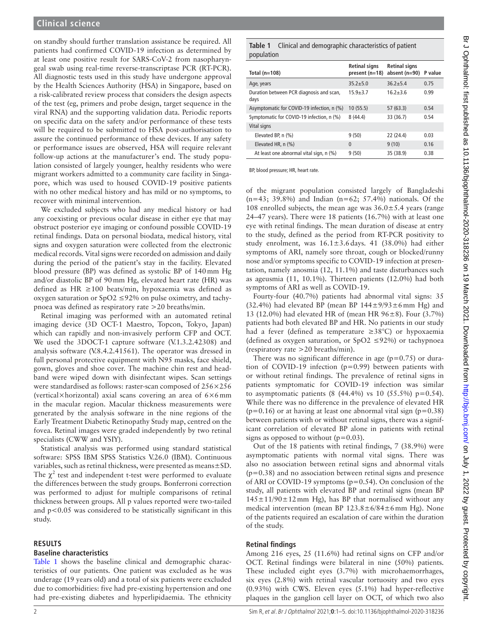on standby should further translation assistance be required. All patients had confirmed COVID-19 infection as determined by at least one positive result for SARS-CoV-2 from nasopharyngeal swab using real-time reverse-transcriptase PCR (RT-PCR). All diagnostic tests used in this study have undergone approval by the Health Sciences Authority (HSA) in Singapore, based on a risk-calibrated review process that considers the design aspects of the test (eg, primers and probe design, target sequence in the viral RNA) and the supporting validation data. Periodic reports on specific data on the safety and/or performance of these tests will be required to be submitted to HSA post-authorisation to assure the continued performance of these devices. If any safety or performance issues are observed, HSA will require relevant follow-up actions at the manufacturer's end. The study population consisted of largely younger, healthy residents who were migrant workers admitted to a community care facility in Singapore, which was used to housed COVID-19 positive patients with no other medical history and has mild or no symptoms, to recover with minimal intervention.

We excluded subjects who had any medical history or had any coexisting or previous ocular disease in either eye that may obstruct posterior eye imaging or confound possible COVID-19 retinal findings. Data on personal biodata, medical history, vital signs and oxygen saturation were collected from the electronic medical records. Vital signs were recorded on admission and daily during the period of the patient's stay in the facility. Elevated blood pressure (BP) was defined as systolic BP of 140mm Hg and/or diastolic BP of 90mm Hg, elevated heart rate (HR) was defined as HR ≥100 beats/min, hypoxaemia was defined as oxygen saturation or SpO2 ≤92% on pulse oximetry, and tachypnoea was defined as respiratory rate >20 breaths/min.

Retinal imaging was performed with an automated retinal imaging device (3D OCT-1 Maestro, Topcon, Tokyo, Japan) which can rapidly and non-invasively perform CFP and OCT. We used the 3DOCT-1 capture software (V.1.3.2.42308) and analysis software (V.8.4.2.41561). The operator was dressed in full personal protective equipment with N95 masks, face shield, gown, gloves and shoe cover. The machine chin rest and headband were wiped down with disinfectant wipes. Scan settings were standardised as follows: raster-scan composed of 256×256 (vertical×horizontal) axial scans covering an area of 6×6mm in the macular region. Macular thickness measurements were generated by the analysis software in the nine regions of the Early Treatment Diabetic Retinopathy Study map, centred on the fovea. Retinal images were graded independently by two retinal specialists (CWW and YSIY).

Statistical analysis was performed using standard statistical software: SPSS IBM SPSS Statistics V.26.0 (IBM). Continuous variables, such as retinal thickness, were presented as means±SD. The  $\chi^2$  test and independent t-test were performed to evaluate the differences between the study groups. Bonferroni correction was performed to adjust for multiple comparisons of retinal thickness between groups. All p values reported were two-tailed and p<0.05 was considered to be statistically significant in this study.

#### **RESULTS**

## **Baseline characteristics**

[Table](#page-1-0) 1 shows the baseline clinical and demographic characteristics of our patients. One patient was excluded as he was underage (19 years old) and a total of six patients were excluded due to comorbidities: five had pre-existing hypertension and one had pre-existing diabetes and hyperlipidaemia. The ethnicity

<span id="page-1-0"></span>**Table 1** Clinical and demographic characteristics of patient population

| Total $(n=108)$                                  | <b>Retinal signs</b><br>present (n=18) | <b>Retinal signs</b><br>absent (n=90) P value |      |
|--------------------------------------------------|----------------------------------------|-----------------------------------------------|------|
| Age, years                                       | $35.2 + 5.0$                           | $36.2 + 5.4$                                  | 0.75 |
| Duration between PCR diagnosis and scan,<br>days | $15.9 + 3.7$                           | $16.2 + 3.6$                                  | 0.99 |
| Asymptomatic for COVID-19 infection, n (%)       | 10(55.5)                               | 57(63.3)                                      | 0.54 |
| Symptomatic for COVID-19 infection, n (%)        | 8(44.4)                                | 33 (36.7)                                     | 0.54 |
| Vital signs                                      |                                        |                                               |      |
| Elevated BP, n (%)                               | 9(50)                                  | 22(24.4)                                      | 0.03 |
| Elevated HR, n (%)                               | $\Omega$                               | 9(10)                                         | 0.16 |
| At least one abnormal vital sign, n (%)          | 9(50)                                  | 35 (38.9)                                     | 0.38 |

BP, blood pressure; HR, heart rate.

of the migrant population consisted largely of Bangladeshi  $(n=43; 39.8\%)$  and Indian  $(n=62; 57.4\%)$  nationals. Of the 108 enrolled subjects, the mean age was  $36.0 \pm 5.4$  years (range 24–47 years). There were 18 patients (16.7%) with at least one eye with retinal findings. The mean duration of disease at entry to the study, defined as the period from RT-PCR positivity to study enrolment, was  $16.1 \pm 3.6$  days. 41 (38.0%) had either symptoms of ARI, namely sore throat, cough or blocked/runny nose and/or symptoms specific to COVID-19 infection at presentation, namely anosmia (12, 11.1%) and taste disturbances such as ageusmia (11, 10.1%). Thirteen patients (12.0%) had both symptoms of ARI as well as COVID-19.

Fourty-four (40.7%) patients had abnormal vital signs: 35  $(32.4\%)$  had elevated BP (mean BP  $144\pm9/93\pm6$  mm Hg) and 13 (12.0%) had elevated HR of (mean HR 96±8). Four (3.7%) patients had both elevated BP and HR. No patients in our study had a fever (defined as temperature ≥38°C) or hypoxaemia (defined as oxygen saturation, or SpO2 ≤92%) or tachypnoea (respiratory rate >20 breaths/min).

There was no significant difference in age  $(p=0.75)$  or duration of COVID-19 infection (p=0.99) between patients with or without retinal findings. The prevalence of retinal signs in patients symptomatic for COVID-19 infection was similar to asymptomatic patients (8  $(44.4\%)$  vs 10  $(55.5\%)$  p=0.54). While there was no difference in the prevalence of elevated HR  $(p=0.16)$  or at having at least one abnormal vital sign  $(p=0.38)$ between patients with or without retinal signs, there was a significant correlation of elevated BP alone in patients with retinal signs as opposed to without  $(p=0.03)$ .

Out of the 18 patients with retinal findings, 7 (38.9%) were asymptomatic patients with normal vital signs. There was also no association between retinal signs and abnormal vitals  $(p=0.38)$  and no association between retinal signs and presence of ARI or COVID-19 symptoms (p=0.54). On conclusion of the study, all patients with elevated BP and retinal signs (mean BP  $145 \pm 11/90 \pm 12$  mm Hg), has BP that normalised without any medical intervention (mean BP  $123.8 \pm 6/84 \pm 6$  mm Hg). None of the patients required an escalation of care within the duration of the study.

## **Retinal findings**

Among 216 eyes, 25 (11.6%) had retinal signs on CFP and/or OCT. Retinal findings were bilateral in nine (50%) patients. These included eight eyes (3.7%) with microhaemorrhages, six eyes (2.8%) with retinal vascular tortuosity and two eyes (0.93%) with CWS. Eleven eyes (5.1%) had hyper-reflective plaques in the ganglion cell layer on OCT, of which two also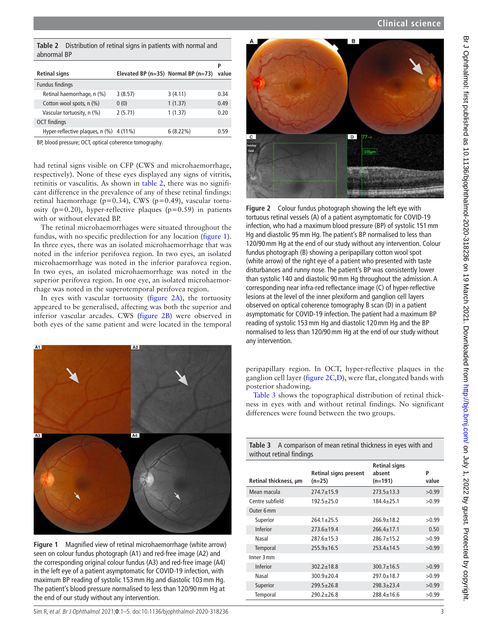<span id="page-2-0"></span>

| abnormal BP          | <b>Table 2</b> Distribution of retinal signs in patients with normal and |  |
|----------------------|--------------------------------------------------------------------------|--|
|                      |                                                                          |  |
| <b>Retinal signs</b> | Elevated BP ( $n=35$ ) Normal BP ( $n=73$ ) value                        |  |
| Fundus findings      |                                                                          |  |

Retinal haemorrhage, n (%) 3 (8.57) 3 (4.11) 0.34 Cotton wool spots, n  $(\%)$  0 (0) 1 (1.37) 0.49 Vascular tortuosity, n (%) 2 (5.71) 1 (1.37) 0.20 OCT findings Hyper-reflective plaques, n (%) 4 (11%) 6 (8.22%) 0.59

BP, blood pressure; OCT, optical coherence tomography.

had retinal signs visible on CFP (CWS and microhaemorrhage, respectively). None of these eyes displayed any signs of vitritis, retinitis or vasculitis. As shown in [table](#page-2-0) 2, there was no significant difference in the prevalence of any of these retinal findings: retinal haemorrhage (p=0.34), CWS (p=0.49), vascular tortuosity ( $p=0.20$ ), hyper-reflective plaques ( $p=0.59$ ) in patients with or without elevated BP.

The retinal microhaemorrhages were situated throughout the fundus, with no specific predilection for any location ([figure](#page-2-1) 1). In three eyes, there was an isolated microhaemorrhage that was noted in the inferior perifovea region. In two eyes, an isolated microhaemorrhage was noted in the inferior parafovea region. In two eyes, an isolated microhaemorrhage was noted in the superior perifovea region. In one eye, an isolated microhaemorrhage was noted in the superotemporal perifovea region.

In eyes with vascular tortuosity [\(figure](#page-2-2) 2A), the tortuosity appeared to be generalised, affecting was both the superior and inferior vascular arcades. CWS [\(figure](#page-2-2) 2B) were observed in both eyes of the same patient and were located in the temporal



<span id="page-2-1"></span>**Figure 1** Magnified view of retinal microhaemorrhage (white arrow) seen on colour fundus photograph (A1) and red-free image (A2) and the corresponding original colour fundus (A3) and red-free image (A4) in the left eye of a patient asymptomatic for COVID-19 infection, with maximum BP reading of systolic 153mm Hg and diastolic 103mm Hg. The patient's blood pressure normalised to less than 120/90mm Hg at the end of our study without any intervention.





<span id="page-2-2"></span>**Figure 2** Colour fundus photograph showing the left eye with tortuous retinal vessels (A) of a patient asymptomatic for COVID-19 infection, who had a maximum blood pressure (BP) of systolic 151mm Hg and diastolic 95mm Hg. The patient's BP normalised to less than 120/90mm Hg at the end of our study without any intervention. Colour fundus photograph (B) showing a peripapillary cotton wool spot (white arrow) of the right eye of a patient who presented with taste disturbances and runny nose. The patient's BP was consistently lower than systolic 140 and diastolic 90mm Hg throughout the admission. A corresponding near infra-red reflectance image (C) of hyper-reflective lesions at the level of the inner plexiform and ganglion cell layers observed on optical coherence tomography B scan (D) in a patient asymptomatic for COVID-19 infection. The patient had a maximum BP reading of systolic 153mm Hg and diastolic 120mm Hg and the BP normalised to less than 120/90mm Hg at the end of our study without any intervention.

peripapillary region. In OCT, hyper-reflective plaques in the ganglion cell layer [\(figure](#page-2-2) 2C,D), were flat, elongated bands with posterior shadowing.

[Table](#page-2-3) 3 shows the topographical distribution of retinal thickness in eyes with and without retinal findings. No significant differences were found between the two groups.

<span id="page-2-3"></span>

| <b>Table 3</b> A comparison of mean retinal thickness in eyes with and |
|------------------------------------------------------------------------|
| without retinal findings                                               |

| Retinal thickness, um | <b>Retinal signs present</b><br>$(n=25)$ | <b>Retinal signs</b><br>absent<br>$(n=191)$ | P<br>value |
|-----------------------|------------------------------------------|---------------------------------------------|------------|
| Mean macula           | $274.7 + 15.9$                           | $273.5 + 13.3$                              | >0.99      |
| Centre subfield       | $192.5 + 25.0$                           | $184.4 + 25.1$                              | >0.99      |
| Outer 6 mm            |                                          |                                             |            |
| Superior              | $764.1 + 75.5$                           | $766.9 + 18.7$                              | >0.99      |
| Inferior              | $273.6 \pm 19.4$                         | $266.4 \pm 17.1$                            | 0.50       |
| Nasal                 | 287.6+15.3                               | $786.7 + 15.7$                              | >0.99      |
| Temporal              | $255.9 \pm 16.5$                         | $253.4 \pm 14.5$                            | >0.99      |
| Inner 3 mm            |                                          |                                             |            |
| Inferior              | $302.2 \pm 18.8$                         | $300.7 \pm 16.5$                            | >0.99      |
| Nasal                 | $300.9 + 20.4$                           | $297.0 + 18.7$                              | >0.99      |
| Superior              | $299.5 + 26.8$                           | $298.3 + 23.4$                              | >0.99      |
| Temporal              | $290.2 + 26.8$                           | $288.4 \pm 16.6$                            | >0.99      |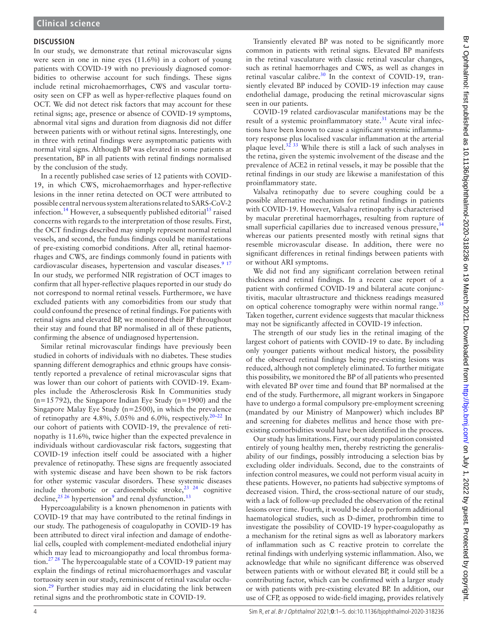### **DISCUSSION**

In our study, we demonstrate that retinal microvascular signs were seen in one in nine eyes (11.6%) in a cohort of young patients with COVID-19 with no previously diagnosed comorbidities to otherwise account for such findings. These signs include retinal microhaemorrhages, CWS and vascular tortuosity seen on CFP as well as hyper-reflective plaques found on OCT. We did not detect risk factors that may account for these retinal signs; age, presence or absence of COVID-19 symptoms, abnormal vital signs and duration from diagnosis did not differ between patients with or without retinal signs. Interestingly, one in three with retinal findings were asymptomatic patients with normal vital signs. Although BP was elevated in some patients at presentation, BP in all patients with retinal findings normalised by the conclusion of the study.

In a recently published case series of 12 patients with COVID-19, in which CWS, microhaemorrhages and hyper-reflective lesions in the inner retina detected on OCT were attributed to possible central nervous system alterations related to SARS-CoV-2 infection.<sup>[14](#page-4-9)</sup> However, a subsequently published editorial<sup>15</sup> raised concerns with regards to the interpretation of those results. First, the OCT findings described may simply represent normal retinal vessels, and second, the fundus findings could be manifestations of pre-existing comorbid conditions. After all, retinal haemorrhages and CWS, are findings commonly found in patients with cardiovascular diseases, hypertension and vascular diseases.<sup>9 17</sup> In our study, we performed NIR registration of OCT images to confirm that all hyper-reflective plaques reported in our study do not correspond to normal retinal vessels. Furthermore, we have excluded patients with any comorbidities from our study that could confound the presence of retinal findings. For patients with retinal signs and elevated BP, we monitored their BP throughout their stay and found that BP normalised in all of these patients, confirming the absence of undiagnosed hypertension.

Similar retinal microvascular findings have previously been studied in cohorts of individuals with no diabetes. These studies spanning different demographics and ethnic groups have consistently reported a prevalence of retinal microvascular signs that was lower than our cohort of patients with COVID-19. Examples include the Atherosclerosis Risk In Communities study (n=15792), the Singapore Indian Eye Study (n=1900) and the Singapore Malay Eye Study (n=2500), in which the prevalence of retinopathy are 4.8%, 5.05% and 6.0%, respectively.<sup>20–22</sup> In our cohort of patients with COVID-19, the prevalence of retinopathy is 11.6%, twice higher than the expected prevalence in individuals without cardiovascular risk factors, suggesting that COVID-19 infection itself could be associated with a higher prevalence of retinopathy. These signs are frequently associated with systemic disease and have been shown to be risk factors for other systemic vascular disorders. These systemic diseases include thrombotic or cardioembolic stroke, $23^{23}$  24 cognitive decline,  $^{25}$  <sup>26</sup> hypertension<sup>9</sup> and renal dysfunction.<sup>13</sup>

Hypercoagulability is a known phenomenon in patients with COVID-19 that may have contributed to the retinal findings in our study. The pathogenesis of coagulopathy in COVID-19 has been attributed to direct viral infection and damage of endothelial cells, coupled with complement-mediated endothelial injury which may lead to microangiopathy and local thrombus formation. $27 28$  The hypercoagulable state of a COVID-19 patient may explain the findings of retinal microhaemorrhages and vascular tortuosity seen in our study, reminiscent of retinal vascular occlu $sion.<sup>29</sup>$  Further studies may aid in elucidating the link between retinal signs and the prothrombotic state in COVID-19.

Transiently elevated BP was noted to be significantly more common in patients with retinal signs. Elevated BP manifests in the retinal vasculature with classic retinal vascular changes, such as retinal haemorrhages and CWS, as well as changes in retinal vascular calibre.<sup>30</sup> In the context of COVID-19, transiently elevated BP induced by COVID-19 infection may cause endothelial damage, producing the retinal microvascular signs seen in our patients.

COVID-19 related cardiovascular manifestations may be the result of a systemic proinflammatory state. $31$  Acute viral infections have been known to cause a significant systemic inflammatory response plus localised vascular inflammation at the arterial plaque level. $3233$  While there is still a lack of such analyses in the retina, given the systemic involvement of the disease and the prevalence of ACE2 in retinal vessels, it may be possible that the retinal findings in our study are likewise a manifestation of this proinflammatory state.

Valsalva retinopathy due to severe coughing could be a possible alternative mechanism for retinal findings in patients with COVID-19. However, Valsalva retinopathy is characterised by macular preretinal haemorrhages, resulting from rupture of small superficial capillaries due to increased venous pressure,  $34$ whereas our patients presented mostly with retinal signs that resemble microvascular disease. In addition, there were no significant differences in retinal findings between patients with or without ARI symptoms.

We did not find any significant correlation between retinal thickness and retinal findings. In a recent case report of a patient with confirmed COVID-19 and bilateral acute conjunctivitis, macular ultrastructure and thickness readings measured on optical coherence tomography were within normal range.<sup>[35](#page-4-23)</sup> Taken together, current evidence suggests that macular thickness may not be significantly affected in COVID-19 infection.

The strength of our study lies in the retinal imaging of the largest cohort of patients with COVID-19 to date. By including only younger patients without medical history, the possibility of the observed retinal findings being pre-existing lesions was reduced, although not completely eliminated. To further mitigate this possibility, we monitored the BP of all patients who presented with elevated BP over time and found that BP normalised at the end of the study. Furthermore, all migrant workers in Singapore have to undergo a formal compulsory pre-employment screening (mandated by our Ministry of Manpower) which includes BP and screening for diabetes mellitus and hence those with preexisting comorbidities would have been identified in the process.

Our study has limitations. First, our study population consisted entirely of young healthy men, thereby restricting the generalisability of our findings, possibly introducing a selection bias by excluding older individuals. Second, due to the constraints of infection control measures, we could not perform visual acuity in these patients. However, no patients had subjective symptoms of decreased vision. Third, the cross-sectional nature of our study, with a lack of follow-up precluded the observation of the retinal lesions over time. Fourth, it would be ideal to perform additional haematological studies, such as D-dimer, prothrombin time to investigate the possibility of COVID-19 hyper-coagulopathy as a mechanism for the retinal signs as well as laboratory markers of inflammation such as C reactive protein to correlate the retinal findings with underlying systemic inflammation. Also, we acknowledge that while no significant difference was observed between patients with or without elevated BP, it could still be a contributing factor, which can be confirmed with a larger study or with patients with pre-existing elevated BP. In addition, our use of CFP, as opposed to wide-field imaging, provides relatively